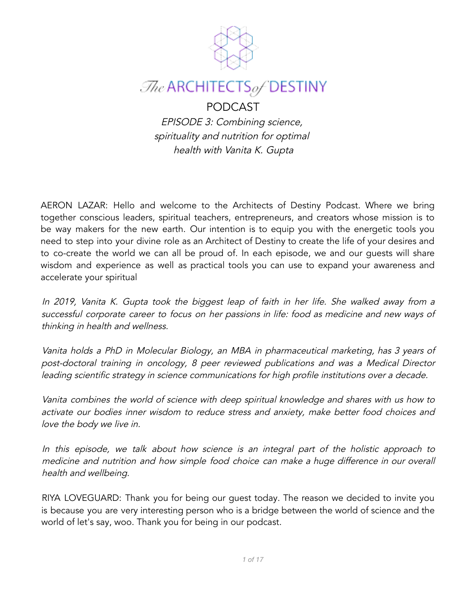

# $\mathcal{I}$ he ARCHITECTSof DESTINY

# PODCAST

EPISODE 3: Combining science, spirituality and nutrition for optimal health with Vanita K. Gupta

AERON LAZAR: Hello and welcome to the Architects of Destiny Podcast. Where we bring together conscious leaders, spiritual teachers, entrepreneurs, and creators whose mission is to be way makers for the new earth. Our intention is to equip you with the energetic tools you need to step into your divine role as an Architect of Destiny to create the life of your desires and to co-create the world we can all be proud of. In each episode, we and our guests will share wisdom and experience as well as practical tools you can use to expand your awareness and accelerate your spiritual

In 2019, Vanita K. Gupta took the biggest leap of faith in her life. She walked away from <sup>a</sup> successful corporate career to focus on her passions in life: food as medicine and new ways of thinking in health and wellness.

Vanita holds <sup>a</sup> PhD in Molecular Biology, an MBA in pharmaceutical marketing, has <sup>3</sup> years of post-doctoral training in oncology, 8 peer reviewed publications and was <sup>a</sup> Medical Director leading scientific strategy in science communications for high profile institutions over <sup>a</sup> decade.

Vanita combines the world of science with deep spiritual knowledge and shares with us how to activate our bodies inner wisdom to reduce stress and anxiety, make better food choices and love the body we live in.

In this episode, we talk about how science is an integral part of the holistic approach to medicine and nutrition and how simple food choice can make <sup>a</sup> huge difference in our overall health and wellbeing.

RIYA LOVEGUARD: Thank you for being our guest today. The reason we decided to invite you is because you are very interesting person who is a bridge between the world of science and the world of let's say, woo. Thank you for being in our podcast.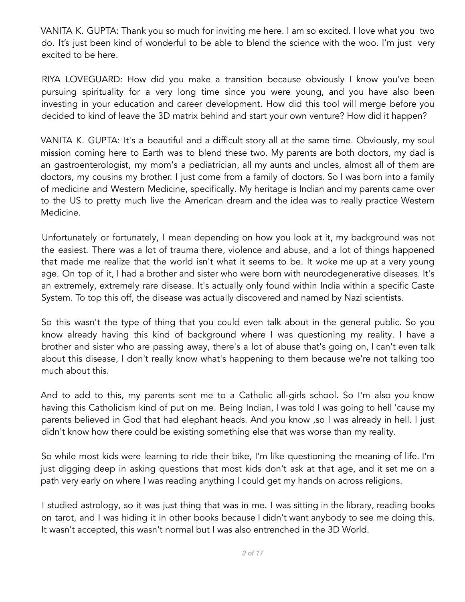VANITA K. GUPTA: Thank you so much for inviting me here. I am so excited. I love what you two do. It's just been kind of wonderful to be able to blend the science with the woo. I'm just very excited to be here.

RIYA LOVEGUARD: How did you make a transition because obviously I know you've been pursuing spirituality for a very long time since you were young, and you have also been investing in your education and career development. How did this tool will merge before you decided to kind of leave the 3D matrix behind and start your own venture? How did it happen?

VANITA K. GUPTA: It's a beautiful and a difficult story all at the same time. Obviously, my soul mission coming here to Earth was to blend these two. My parents are both doctors, my dad is an gastroenterologist, my mom's a pediatrician, all my aunts and uncles, almost all of them are doctors, my cousins my brother. I just come from a family of doctors. So I was born into a family of medicine and Western Medicine, specifically. My heritage is Indian and my parents came over to the US to pretty much live the American dream and the idea was to really practice Western Medicine.

Unfortunately or fortunately, I mean depending on how you look at it, my background was not the easiest. There was a lot of trauma there, violence and abuse, and a lot of things happened that made me realize that the world isn't what it seems to be. It woke me up at a very young age. On top of it, I had a brother and sister who were born with neurodegenerative diseases. It's an extremely, extremely rare disease. It's actually only found within India within a specific Caste System. To top this off, the disease was actually discovered and named by Nazi scientists.

So this wasn't the type of thing that you could even talk about in the general public. So you know already having this kind of background where I was questioning my reality. I have a brother and sister who are passing away, there's a lot of abuse that's going on, I can't even talk about this disease, I don't really know what's happening to them because we're not talking too much about this.

And to add to this, my parents sent me to a Catholic all-girls school. So I'm also you know having this Catholicism kind of put on me. Being Indian, I was told I was going to hell 'cause my parents believed in God that had elephant heads. And you know ,so I was already in hell. I just didn't know how there could be existing something else that was worse than my reality.

So while most kids were learning to ride their bike, I'm like questioning the meaning of life. I'm just digging deep in asking questions that most kids don't ask at that age, and it set me on a path very early on where I was reading anything I could get my hands on across religions.

I studied astrology, so it was just thing that was in me. I was sitting in the library, reading books on tarot, and I was hiding it in other books because I didn't want anybody to see me doing this. It wasn't accepted, this wasn't normal but I was also entrenched in the 3D World.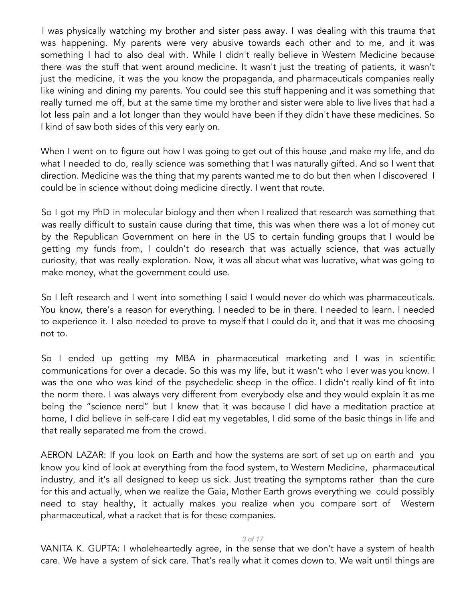I was physically watching my brother and sister pass away. I was dealing with this trauma that was happening. My parents were very abusive towards each other and to me, and it was something I had to also deal with. While I didn't really believe in Western Medicine because there was the stuff that went around medicine. It wasn't just the treating of patients, it wasn't just the medicine, it was the you know the propaganda, and pharmaceuticals companies really like wining and dining my parents. You could see this stuff happening and it was something that really turned me off, but at the same time my brother and sister were able to live lives that had a lot less pain and a lot longer than they would have been if they didn't have these medicines. So I kind of saw both sides of this very early on.

When I went on to figure out how I was going to get out of this house ,and make my life, and do what I needed to do, really science was something that I was naturally gifted. And so I went that direction. Medicine was the thing that my parents wanted me to do but then when I discovered I could be in science without doing medicine directly. I went that route.

So I got my PhD in molecular biology and then when I realized that research was something that was really difficult to sustain cause during that time, this was when there was a lot of money cut by the Republican Government on here in the US to certain funding groups that I would be getting my funds from, I couldn't do research that was actually science, that was actually curiosity, that was really exploration. Now, it was all about what was lucrative, what was going to make money, what the government could use.

So I left research and I went into something I said I would never do which was pharmaceuticals. You know, there's a reason for everything. I needed to be in there. I needed to learn. I needed to experience it. I also needed to prove to myself that I could do it, and that it was me choosing not to.

So I ended up getting my MBA in pharmaceutical marketing and I was in scientific communications for over a decade. So this was my life, but it wasn't who I ever was you know. I was the one who was kind of the psychedelic sheep in the office. I didn't really kind of fit into the norm there. I was always very different from everybody else and they would explain it as me being the "science nerd" but I knew that it was because I did have a meditation practice at home, I did believe in self-care I did eat my vegetables, I did some of the basic things in life and that really separated me from the crowd.

AERON LAZAR: If you look on Earth and how the systems are sort of set up on earth and you know you kind of look at everything from the food system, to Western Medicine, pharmaceutical industry, and it's all designed to keep us sick. Just treating the symptoms rather than the cure for this and actually, when we realize the Gaia, Mother Earth grows everything we could possibly need to stay healthy, it actually makes you realize when you compare sort of Western pharmaceutical, what a racket that is for these companies.

## *3 of 17*

VANITA K. GUPTA: I wholeheartedly agree, in the sense that we don't have a system of health care. We have a system of sick care. That's really what it comes down to. We wait until things are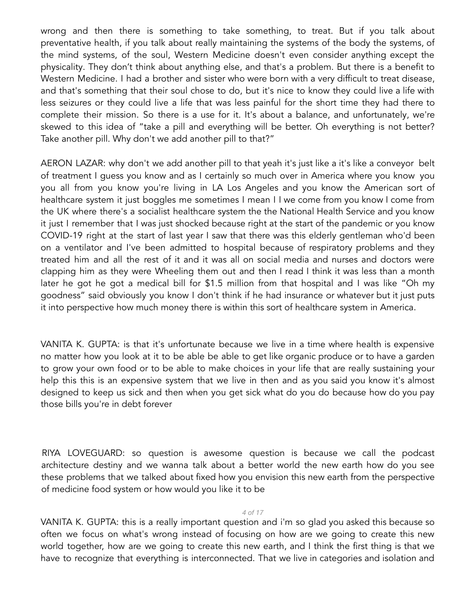wrong and then there is something to take something, to treat. But if you talk about preventative health, if you talk about really maintaining the systems of the body the systems, of the mind systems, of the soul, Western Medicine doesn't even consider anything except the physicality. They don't think about anything else, and that's a problem. But there is a benefit to Western Medicine. I had a brother and sister who were born with a very difficult to treat disease, and that's something that their soul chose to do, but it's nice to know they could live a life with less seizures or they could live a life that was less painful for the short time they had there to complete their mission. So there is a use for it. It's about a balance, and unfortunately, we're skewed to this idea of "take a pill and everything will be better. Oh everything is not better? Take another pill. Why don't we add another pill to that?"

AERON LAZAR: why don't we add another pill to that yeah it's just like a it's like a conveyor belt of treatment I guess you know and as I certainly so much over in America where you know you you all from you know you're living in LA Los Angeles and you know the American sort of healthcare system it just boggles me sometimes I mean I I we come from you know I come from the UK where there's a socialist healthcare system the the National Health Service and you know it just I remember that I was just shocked because right at the start of the pandemic or you know COVID-19 right at the start of last year I saw that there was this elderly gentleman who'd been on a ventilator and I've been admitted to hospital because of respiratory problems and they treated him and all the rest of it and it was all on social media and nurses and doctors were clapping him as they were Wheeling them out and then I read I think it was less than a month later he got he got a medical bill for \$1.5 million from that hospital and I was like "Oh my goodness" said obviously you know I don't think if he had insurance or whatever but it just puts it into perspective how much money there is within this sort of healthcare system in America.

VANITA K. GUPTA: is that it's unfortunate because we live in a time where health is expensive no matter how you look at it to be able be able to get like organic produce or to have a garden to grow your own food or to be able to make choices in your life that are really sustaining your help this this is an expensive system that we live in then and as you said you know it's almost designed to keep us sick and then when you get sick what do you do because how do you pay those bills you're in debt forever

RIYA LOVEGUARD: so question is awesome question is because we call the podcast architecture destiny and we wanna talk about a better world the new earth how do you see these problems that we talked about fixed how you envision this new earth from the perspective of medicine food system or how would you like it to be

## *4 of 17*

VANITA K. GUPTA: this is a really important question and i'm so glad you asked this because so often we focus on what's wrong instead of focusing on how are we going to create this new world together, how are we going to create this new earth, and I think the first thing is that we have to recognize that everything is interconnected. That we live in categories and isolation and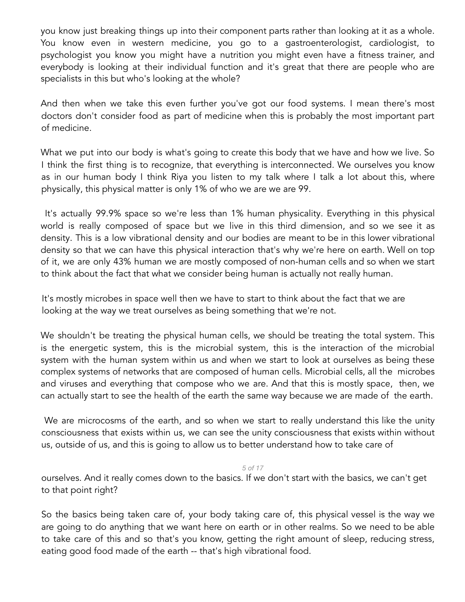you know just breaking things up into their component parts rather than looking at it as a whole. You know even in western medicine, you go to a gastroenterologist, cardiologist, to psychologist you know you might have a nutrition you might even have a fitness trainer, and everybody is looking at their individual function and it's great that there are people who are specialists in this but who's looking at the whole?

And then when we take this even further you've got our food systems. I mean there's most doctors don't consider food as part of medicine when this is probably the most important part of medicine.

What we put into our body is what's going to create this body that we have and how we live. So I think the first thing is to recognize, that everything is interconnected. We ourselves you know as in our human body I think Riya you listen to my talk where I talk a lot about this, where physically, this physical matter is only 1% of who we are we are 99.

It's actually 99.9% space so we're less than 1% human physicality. Everything in this physical world is really composed of space but we live in this third dimension, and so we see it as density. This is a low vibrational density and our bodies are meant to be in this lower vibrational density so that we can have this physical interaction that's why we're here on earth. Well on top of it, we are only 43% human we are mostly composed of non-human cells and so when we start to think about the fact that what we consider being human is actually not really human.

It's mostly microbes in space well then we have to start to think about the fact that we are looking at the way we treat ourselves as being something that we're not.

We shouldn't be treating the physical human cells, we should be treating the total system. This is the energetic system, this is the microbial system, this is the interaction of the microbial system with the human system within us and when we start to look at ourselves as being these complex systems of networks that are composed of human cells. Microbial cells, all the microbes and viruses and everything that compose who we are. And that this is mostly space, then, we can actually start to see the health of the earth the same way because we are made of the earth.

We are microcosms of the earth, and so when we start to really understand this like the unity consciousness that exists within us, we can see the unity consciousness that exists within without us, outside of us, and this is going to allow us to better understand how to take care of

#### *5 of 17*

ourselves. And it really comes down to the basics. If we don't start with the basics, we can't get to that point right?

So the basics being taken care of, your body taking care of, this physical vessel is the way we are going to do anything that we want here on earth or in other realms. So we need to be able to take care of this and so that's you know, getting the right amount of sleep, reducing stress, eating good food made of the earth -- that's high vibrational food.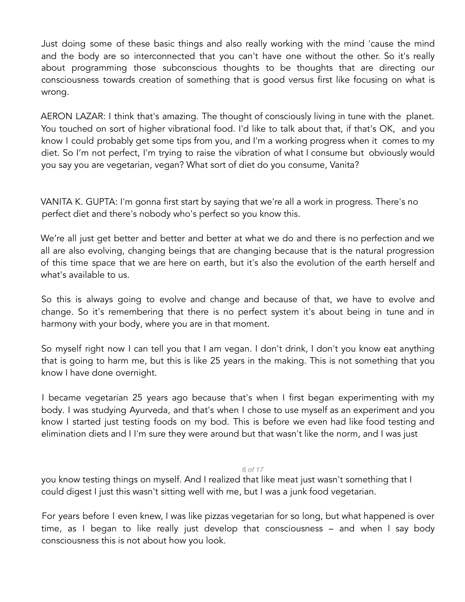Just doing some of these basic things and also really working with the mind 'cause the mind and the body are so interconnected that you can't have one without the other. So it's really about programming those subconscious thoughts to be thoughts that are directing our consciousness towards creation of something that is good versus first like focusing on what is wrong.

AERON LAZAR: I think that's amazing. The thought of consciously living in tune with the planet. You touched on sort of higher vibrational food. I'd like to talk about that, if that's OK, and you know I could probably get some tips from you, and I'm a working progress when it comes to my diet. So I'm not perfect, I'm trying to raise the vibration of what I consume but obviously would you say you are vegetarian, vegan? What sort of diet do you consume, Vanita?

VANITA K. GUPTA: I'm gonna first start by saying that we're all a work in progress. There's no perfect diet and there's nobody who's perfect so you know this.

We're all just get better and better and better at what we do and there is no perfection and we all are also evolving, changing beings that are changing because that is the natural progression of this time space that we are here on earth, but it's also the evolution of the earth herself and what's available to us.

So this is always going to evolve and change and because of that, we have to evolve and change. So it's remembering that there is no perfect system it's about being in tune and in harmony with your body, where you are in that moment.

So myself right now I can tell you that I am vegan. I don't drink, I don't you know eat anything that is going to harm me, but this is like 25 years in the making. This is not something that you know I have done overnight.

I became vegetarian 25 years ago because that's when I first began experimenting with my body. I was studying Ayurveda, and that's when I chose to use myself as an experiment and you know I started just testing foods on my bod. This is before we even had like food testing and elimination diets and I I'm sure they were around but that wasn't like the norm, and I was just

## *6 of 17*

you know testing things on myself. And I realized that like meat just wasn't something that I could digest I just this wasn't sitting well with me, but I was a junk food vegetarian.

For years before I even knew, I was like pizzas vegetarian for so long, but what happened is over time, as I began to like really just develop that consciousness – and when I say body consciousness this is not about how you look.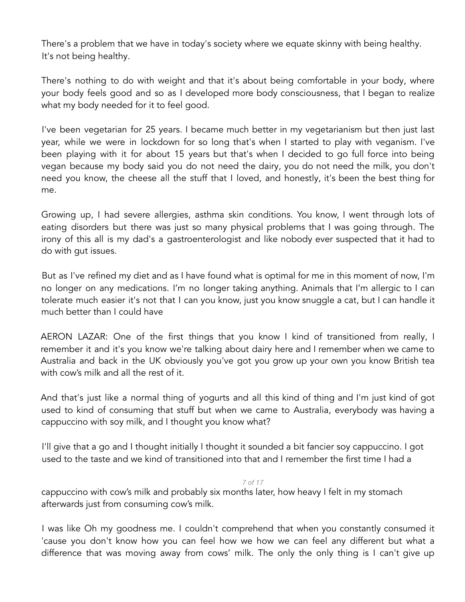There's a problem that we have in today's society where we equate skinny with being healthy. It's not being healthy.

There's nothing to do with weight and that it's about being comfortable in your body, where your body feels good and so as I developed more body consciousness, that I began to realize what my body needed for it to feel good.

I've been vegetarian for 25 years. I became much better in my vegetarianism but then just last year, while we were in lockdown for so long that's when I started to play with veganism. I've been playing with it for about 15 years but that's when I decided to go full force into being vegan because my body said you do not need the dairy, you do not need the milk, you don't need you know, the cheese all the stuff that I loved, and honestly, it's been the best thing for me.

Growing up, I had severe allergies, asthma skin conditions. You know, I went through lots of eating disorders but there was just so many physical problems that I was going through. The irony of this all is my dad's a gastroenterologist and like nobody ever suspected that it had to do with gut issues.

But as I've refined my diet and as I have found what is optimal for me in this moment of now, I'm no longer on any medications. I'm no longer taking anything. Animals that I'm allergic to I can tolerate much easier it's not that I can you know, just you know snuggle a cat, but I can handle it much better than I could have

AERON LAZAR: One of the first things that you know I kind of transitioned from really, I remember it and it's you know we're talking about dairy here and I remember when we came to Australia and back in the UK obviously you've got you grow up your own you know British tea with cow's milk and all the rest of it.

And that's just like a normal thing of yogurts and all this kind of thing and I'm just kind of got used to kind of consuming that stuff but when we came to Australia, everybody was having a cappuccino with soy milk, and I thought you know what?

I'll give that a go and I thought initially I thought it sounded a bit fancier soy cappuccino. I got used to the taste and we kind of transitioned into that and I remember the first time I had a

*7 of 17* cappuccino with cow's milk and probably six months later, how heavy I felt in my stomach afterwards just from consuming cow's milk.

I was like Oh my goodness me. I couldn't comprehend that when you constantly consumed it 'cause you don't know how you can feel how we how we can feel any different but what a difference that was moving away from cows' milk. The only the only thing is I can't give up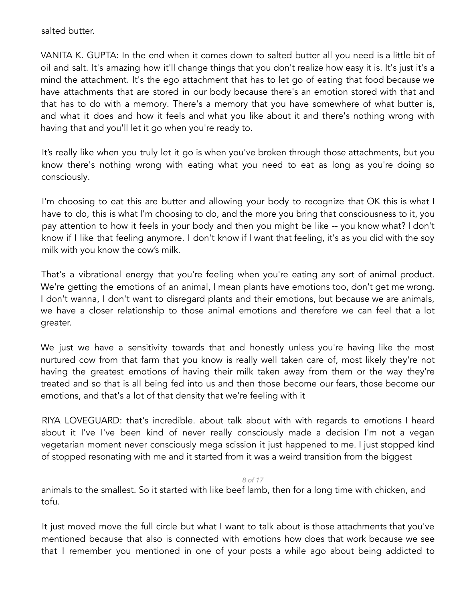salted butter.

VANITA K. GUPTA: In the end when it comes down to salted butter all you need is a little bit of oil and salt. It's amazing how it'll change things that you don't realize how easy it is. It's just it's a mind the attachment. It's the ego attachment that has to let go of eating that food because we have attachments that are stored in our body because there's an emotion stored with that and that has to do with a memory. There's a memory that you have somewhere of what butter is, and what it does and how it feels and what you like about it and there's nothing wrong with having that and you'll let it go when you're ready to.

It's really like when you truly let it go is when you've broken through those attachments, but you know there's nothing wrong with eating what you need to eat as long as you're doing so consciously.

I'm choosing to eat this are butter and allowing your body to recognize that OK this is what I have to do, this is what I'm choosing to do, and the more you bring that consciousness to it, you pay attention to how it feels in your body and then you might be like -- you know what? I don't know if I like that feeling anymore. I don't know if I want that feeling, it's as you did with the soy milk with you know the cow's milk.

That's a vibrational energy that you're feeling when you're eating any sort of animal product. We're getting the emotions of an animal, I mean plants have emotions too, don't get me wrong. I don't wanna, I don't want to disregard plants and their emotions, but because we are animals, we have a closer relationship to those animal emotions and therefore we can feel that a lot greater.

We just we have a sensitivity towards that and honestly unless you're having like the most nurtured cow from that farm that you know is really well taken care of, most likely they're not having the greatest emotions of having their milk taken away from them or the way they're treated and so that is all being fed into us and then those become our fears, those become our emotions, and that's a lot of that density that we're feeling with it

RIYA LOVEGUARD: that's incredible. about talk about with with regards to emotions I heard about it I've I've been kind of never really consciously made a decision I'm not a vegan vegetarian moment never consciously mega scission it just happened to me. I just stopped kind of stopped resonating with me and it started from it was a weird transition from the biggest

## *8 of 17*

animals to the smallest. So it started with like beef lamb, then for a long time with chicken, and tofu.

It just moved move the full circle but what I want to talk about is those attachments that you've mentioned because that also is connected with emotions how does that work because we see that I remember you mentioned in one of your posts a while ago about being addicted to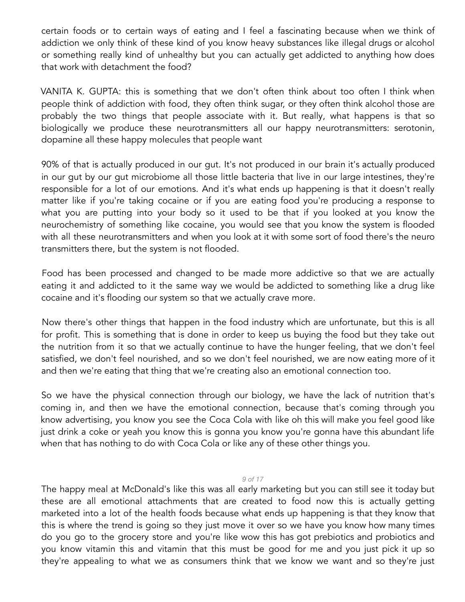certain foods or to certain ways of eating and I feel a fascinating because when we think of addiction we only think of these kind of you know heavy substances like illegal drugs or alcohol or something really kind of unhealthy but you can actually get addicted to anything how does that work with detachment the food?

VANITA K. GUPTA: this is something that we don't often think about too often I think when people think of addiction with food, they often think sugar, or they often think alcohol those are probably the two things that people associate with it. But really, what happens is that so biologically we produce these neurotransmitters all our happy neurotransmitters: serotonin, dopamine all these happy molecules that people want

90% of that is actually produced in our gut. It's not produced in our brain it's actually produced in our gut by our gut microbiome all those little bacteria that live in our large intestines, they're responsible for a lot of our emotions. And it's what ends up happening is that it doesn't really matter like if you're taking cocaine or if you are eating food you're producing a response to what you are putting into your body so it used to be that if you looked at you know the neurochemistry of something like cocaine, you would see that you know the system is flooded with all these neurotransmitters and when you look at it with some sort of food there's the neuro transmitters there, but the system is not flooded.

Food has been processed and changed to be made more addictive so that we are actually eating it and addicted to it the same way we would be addicted to something like a drug like cocaine and it's flooding our system so that we actually crave more.

Now there's other things that happen in the food industry which are unfortunate, but this is all for profit. This is something that is done in order to keep us buying the food but they take out the nutrition from it so that we actually continue to have the hunger feeling, that we don't feel satisfied, we don't feel nourished, and so we don't feel nourished, we are now eating more of it and then we're eating that thing that we're creating also an emotional connection too.

So we have the physical connection through our biology, we have the lack of nutrition that's coming in, and then we have the emotional connection, because that's coming through you know advertising, you know you see the Coca Cola with like oh this will make you feel good like just drink a coke or yeah you know this is gonna you know you're gonna have this abundant life when that has nothing to do with Coca Cola or like any of these other things you.

## *9 of 17*

The happy meal at McDonald's like this was all early marketing but you can still see it today but these are all emotional attachments that are created to food now this is actually getting marketed into a lot of the health foods because what ends up happening is that they know that this is where the trend is going so they just move it over so we have you know how many times do you go to the grocery store and you're like wow this has got prebiotics and probiotics and you know vitamin this and vitamin that this must be good for me and you just pick it up so they're appealing to what we as consumers think that we know we want and so they're just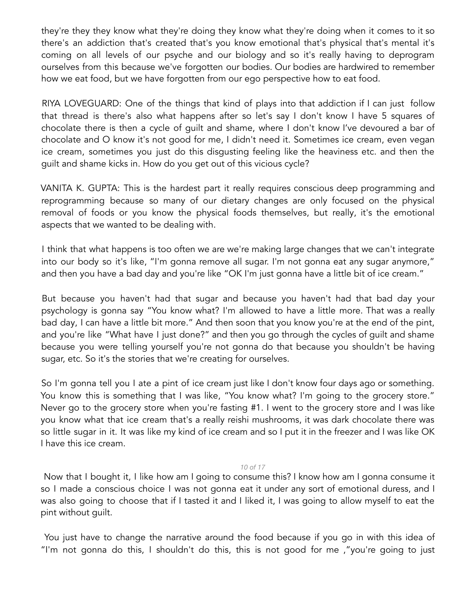they're they they know what they're doing they know what they're doing when it comes to it so there's an addiction that's created that's you know emotional that's physical that's mental it's coming on all levels of our psyche and our biology and so it's really having to deprogram ourselves from this because we've forgotten our bodies. Our bodies are hardwired to remember how we eat food, but we have forgotten from our ego perspective how to eat food.

RIYA LOVEGUARD: One of the things that kind of plays into that addiction if I can just follow that thread is there's also what happens after so let's say I don't know I have 5 squares of chocolate there is then a cycle of guilt and shame, where I don't know I've devoured a bar of chocolate and O know it's not good for me, I didn't need it. Sometimes ice cream, even vegan ice cream, sometimes you just do this disgusting feeling like the heaviness etc. and then the guilt and shame kicks in. How do you get out of this vicious cycle?

VANITA K. GUPTA: This is the hardest part it really requires conscious deep programming and reprogramming because so many of our dietary changes are only focused on the physical removal of foods or you know the physical foods themselves, but really, it's the emotional aspects that we wanted to be dealing with.

I think that what happens is too often we are we're making large changes that we can't integrate into our body so it's like, "I'm gonna remove all sugar. I'm not gonna eat any sugar anymore," and then you have a bad day and you're like "OK I'm just gonna have a little bit of ice cream."

But because you haven't had that sugar and because you haven't had that bad day your psychology is gonna say "You know what? I'm allowed to have a little more. That was a really bad day, I can have a little bit more." And then soon that you know you're at the end of the pint, and you're like "What have I just done?" and then you go through the cycles of guilt and shame because you were telling yourself you're not gonna do that because you shouldn't be having sugar, etc. So it's the stories that we're creating for ourselves.

So I'm gonna tell you I ate a pint of ice cream just like I don't know four days ago or something. You know this is something that I was like, "You know what? I'm going to the grocery store." Never go to the grocery store when you're fasting #1. I went to the grocery store and I was like you know what that ice cream that's a really reishi mushrooms, it was dark chocolate there was so little sugar in it. It was like my kind of ice cream and so I put it in the freezer and I was like OK I have this ice cream.

#### *10 of 17*

Now that I bought it, I like how am I going to consume this? I know how am I gonna consume it so I made a conscious choice I was not gonna eat it under any sort of emotional duress, and I was also going to choose that if I tasted it and I liked it, I was going to allow myself to eat the pint without guilt.

You just have to change the narrative around the food because if you go in with this idea of "I'm not gonna do this, I shouldn't do this, this is not good for me ,"you're going to just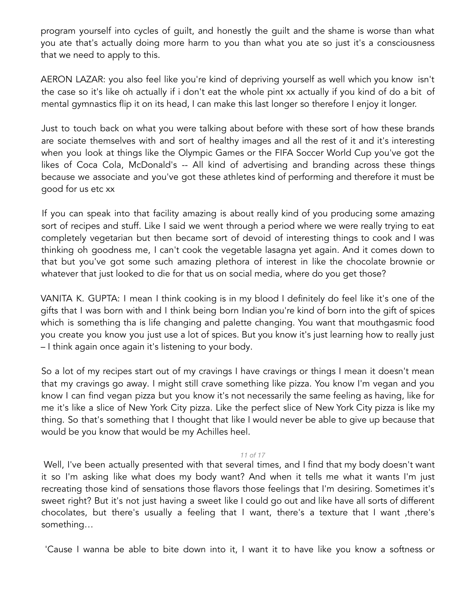program yourself into cycles of guilt, and honestly the guilt and the shame is worse than what you ate that's actually doing more harm to you than what you ate so just it's a consciousness that we need to apply to this.

AERON LAZAR: you also feel like you're kind of depriving yourself as well which you know isn't the case so it's like oh actually if i don't eat the whole pint xx actually if you kind of do a bit of mental gymnastics flip it on its head, I can make this last longer so therefore I enjoy it longer.

Just to touch back on what you were talking about before with these sort of how these brands are sociate themselves with and sort of healthy images and all the rest of it and it's interesting when you look at things like the Olympic Games or the FIFA Soccer World Cup you've got the likes of Coca Cola, McDonald's -- All kind of advertising and branding across these things because we associate and you've got these athletes kind of performing and therefore it must be good for us etc xx

If you can speak into that facility amazing is about really kind of you producing some amazing sort of recipes and stuff. Like I said we went through a period where we were really trying to eat completely vegetarian but then became sort of devoid of interesting things to cook and I was thinking oh goodness me, I can't cook the vegetable lasagna yet again. And it comes down to that but you've got some such amazing plethora of interest in like the chocolate brownie or whatever that just looked to die for that us on social media, where do you get those?

VANITA K. GUPTA: I mean I think cooking is in my blood I definitely do feel like it's one of the gifts that I was born with and I think being born Indian you're kind of born into the gift of spices which is something tha is life changing and palette changing. You want that mouthgasmic food you create you know you just use a lot of spices. But you know it's just learning how to really just – I think again once again it's listening to your body.

So a lot of my recipes start out of my cravings I have cravings or things I mean it doesn't mean that my cravings go away. I might still crave something like pizza. You know I'm vegan and you know I can find vegan pizza but you know it's not necessarily the same feeling as having, like for me it's like a slice of New York City pizza. Like the perfect slice of New York City pizza is like my thing. So that's something that I thought that like I would never be able to give up because that would be you know that would be my Achilles heel.

## *11 of 17*

Well, I've been actually presented with that several times, and I find that my body doesn't want it so I'm asking like what does my body want? And when it tells me what it wants I'm just recreating those kind of sensations those flavors those feelings that I'm desiring. Sometimes it's sweet right? But it's not just having a sweet like I could go out and like have all sorts of different chocolates, but there's usually a feeling that I want, there's a texture that I want ,there's something…

'Cause I wanna be able to bite down into it, I want it to have like you know a softness or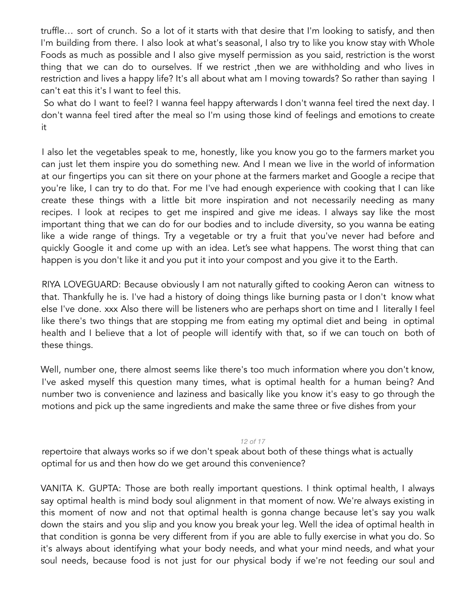truffle… sort of crunch. So a lot of it starts with that desire that I'm looking to satisfy, and then I'm building from there. I also look at what's seasonal, I also try to like you know stay with Whole Foods as much as possible and I also give myself permission as you said, restriction is the worst thing that we can do to ourselves. If we restrict ,then we are withholding and who lives in restriction and lives a happy life? It's all about what am I moving towards? So rather than saying I can't eat this it's I want to feel this.

So what do I want to feel? I wanna feel happy afterwards I don't wanna feel tired the next day. I don't wanna feel tired after the meal so I'm using those kind of feelings and emotions to create it

I also let the vegetables speak to me, honestly, like you know you go to the farmers market you can just let them inspire you do something new. And I mean we live in the world of information at our fingertips you can sit there on your phone at the farmers market and Google a recipe that you're like, I can try to do that. For me I've had enough experience with cooking that I can like create these things with a little bit more inspiration and not necessarily needing as many recipes. I look at recipes to get me inspired and give me ideas. I always say like the most important thing that we can do for our bodies and to include diversity, so you wanna be eating like a wide range of things. Try a vegetable or try a fruit that you've never had before and quickly Google it and come up with an idea. Let's see what happens. The worst thing that can happen is you don't like it and you put it into your compost and you give it to the Earth.

RIYA LOVEGUARD: Because obviously I am not naturally gifted to cooking Aeron can witness to that. Thankfully he is. I've had a history of doing things like burning pasta or I don't know what else I've done. xxx Also there will be listeners who are perhaps short on time and I literally I feel like there's two things that are stopping me from eating my optimal diet and being in optimal health and I believe that a lot of people will identify with that, so if we can touch on both of these things.

Well, number one, there almost seems like there's too much information where you don't know, I've asked myself this question many times, what is optimal health for a human being? And number two is convenience and laziness and basically like you know it's easy to go through the motions and pick up the same ingredients and make the same three or five dishes from your

*12 of 17*

repertoire that always works so if we don't speak about both of these things what is actually optimal for us and then how do we get around this convenience?

VANITA K. GUPTA: Those are both really important questions. I think optimal health, I always say optimal health is mind body soul alignment in that moment of now. We're always existing in this moment of now and not that optimal health is gonna change because let's say you walk down the stairs and you slip and you know you break your leg. Well the idea of optimal health in that condition is gonna be very different from if you are able to fully exercise in what you do. So it's always about identifying what your body needs, and what your mind needs, and what your soul needs, because food is not just for our physical body if we're not feeding our soul and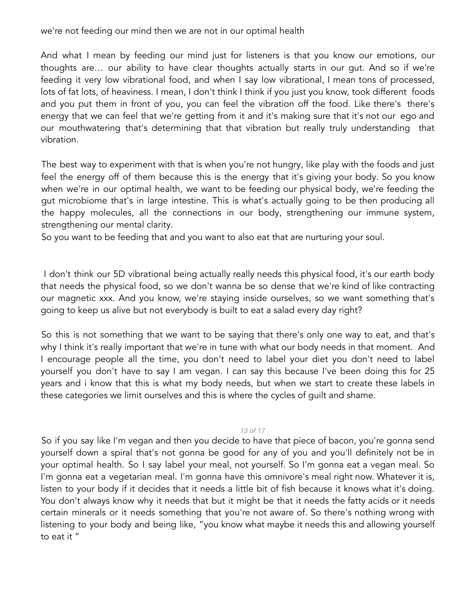we're not feeding our mind then we are not in our optimal health

And what I mean by feeding our mind just for listeners is that you know our emotions, our thoughts are… our ability to have clear thoughts actually starts in our gut. And so if we're feeding it very low vibrational food, and when I say low vibrational, I mean tons of processed, lots of fat lots, of heaviness. I mean, I don't think I think if you just you know, took different foods and you put them in front of you, you can feel the vibration off the food. Like there's there's energy that we can feel that we're getting from it and it's making sure that it's not our ego and our mouthwatering that's determining that that vibration but really truly understanding that vibration.

The best way to experiment with that is when you're not hungry, like play with the foods and just feel the energy off of them because this is the energy that it's giving your body. So you know when we're in our optimal health, we want to be feeding our physical body, we're feeding the gut microbiome that's in large intestine. This is what's actually going to be then producing all the happy molecules, all the connections in our body, strengthening our immune system, strengthening our mental clarity.

So you want to be feeding that and you want to also eat that are nurturing your soul.

I don't think our 5D vibrational being actually really needs this physical food, it's our earth body that needs the physical food, so we don't wanna be so dense that we're kind of like contracting our magnetic xxx. And you know, we're staying inside ourselves, so we want something that's going to keep us alive but not everybody is built to eat a salad every day right?

So this is not something that we want to be saying that there's only one way to eat, and that's why I think it's really important that we're in tune with what our body needs in that moment. And I encourage people all the time, you don't need to label your diet you don't need to label yourself you don't have to say I am vegan. I can say this because I've been doing this for 25 years and i know that this is what my body needs, but when we start to create these labels in these categories we limit ourselves and this is where the cycles of guilt and shame.

## *13 of 17*

So if you say like I'm vegan and then you decide to have that piece of bacon, you're gonna send yourself down a spiral that's not gonna be good for any of you and you'll definitely not be in your optimal health. So I say label your meal, not yourself. So I'm gonna eat a vegan meal. So I'm gonna eat a vegetarian meal. I'm gonna have this omnivore's meal right now. Whatever it is, listen to your body if it decides that it needs a little bit of fish because it knows what it's doing. You don't always know why it needs that but it might be that it needs the fatty acids or it needs certain minerals or it needs something that you're not aware of. So there's nothing wrong with listening to your body and being like, "you know what maybe it needs this and allowing yourself to eat it "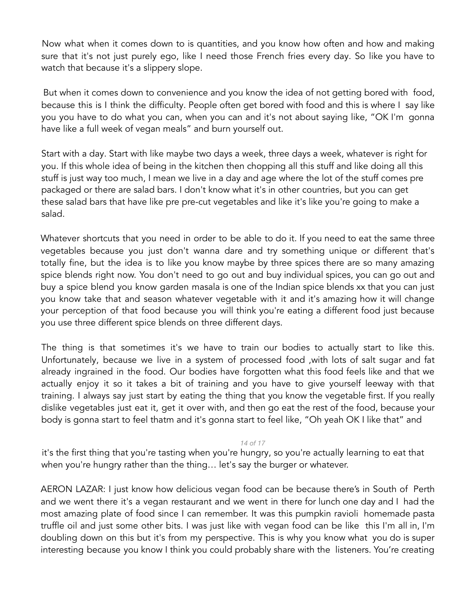Now what when it comes down to is quantities, and you know how often and how and making sure that it's not just purely ego, like I need those French fries every day. So like you have to watch that because it's a slippery slope.

But when it comes down to convenience and you know the idea of not getting bored with food, because this is I think the difficulty. People often get bored with food and this is where I say like you you have to do what you can, when you can and it's not about saying like, "OK I'm gonna have like a full week of vegan meals" and burn yourself out.

Start with a day. Start with like maybe two days a week, three days a week, whatever is right for you. If this whole idea of being in the kitchen then chopping all this stuff and like doing all this stuff is just way too much, I mean we live in a day and age where the lot of the stuff comes pre packaged or there are salad bars. I don't know what it's in other countries, but you can get these salad bars that have like pre pre-cut vegetables and like it's like you're going to make a salad.

Whatever shortcuts that you need in order to be able to do it. If you need to eat the same three vegetables because you just don't wanna dare and try something unique or different that's totally fine, but the idea is to like you know maybe by three spices there are so many amazing spice blends right now. You don't need to go out and buy individual spices, you can go out and buy a spice blend you know garden masala is one of the Indian spice blends xx that you can just you know take that and season whatever vegetable with it and it's amazing how it will change your perception of that food because you will think you're eating a different food just because you use three different spice blends on three different days.

The thing is that sometimes it's we have to train our bodies to actually start to like this. Unfortunately, because we live in a system of processed food ,with lots of salt sugar and fat already ingrained in the food. Our bodies have forgotten what this food feels like and that we actually enjoy it so it takes a bit of training and you have to give yourself leeway with that training. I always say just start by eating the thing that you know the vegetable first. If you really dislike vegetables just eat it, get it over with, and then go eat the rest of the food, because your body is gonna start to feel thatm and it's gonna start to feel like, "Oh yeah OK I like that" and

*14 of 17*

it's the first thing that you're tasting when you're hungry, so you're actually learning to eat that when you're hungry rather than the thing… let's say the burger or whatever.

AERON LAZAR: I just know how delicious vegan food can be because there's in South of Perth and we went there it's a vegan restaurant and we went in there for lunch one day and I had the most amazing plate of food since I can remember. It was this pumpkin ravioli homemade pasta truffle oil and just some other bits. I was just like with vegan food can be like this I'm all in, I'm doubling down on this but it's from my perspective. This is why you know what you do is super interesting because you know I think you could probably share with the listeners. You're creating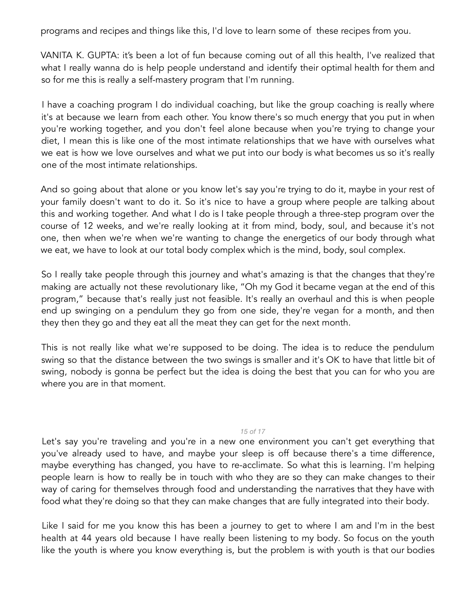programs and recipes and things like this, I'd love to learn some of these recipes from you.

VANITA K. GUPTA: it's been a lot of fun because coming out of all this health, I've realized that what I really wanna do is help people understand and identify their optimal health for them and so for me this is really a self-mastery program that I'm running.

I have a coaching program I do individual coaching, but like the group coaching is really where it's at because we learn from each other. You know there's so much energy that you put in when you're working together, and you don't feel alone because when you're trying to change your diet, I mean this is like one of the most intimate relationships that we have with ourselves what we eat is how we love ourselves and what we put into our body is what becomes us so it's really one of the most intimate relationships.

And so going about that alone or you know let's say you're trying to do it, maybe in your rest of your family doesn't want to do it. So it's nice to have a group where people are talking about this and working together. And what I do is I take people through a three-step program over the course of 12 weeks, and we're really looking at it from mind, body, soul, and because it's not one, then when we're when we're wanting to change the energetics of our body through what we eat, we have to look at our total body complex which is the mind, body, soul complex.

So I really take people through this journey and what's amazing is that the changes that they're making are actually not these revolutionary like, "Oh my God it became vegan at the end of this program," because that's really just not feasible. It's really an overhaul and this is when people end up swinging on a pendulum they go from one side, they're vegan for a month, and then they then they go and they eat all the meat they can get for the next month.

This is not really like what we're supposed to be doing. The idea is to reduce the pendulum swing so that the distance between the two swings is smaller and it's OK to have that little bit of swing, nobody is gonna be perfect but the idea is doing the best that you can for who you are where you are in that moment.

## *15 of 17*

Let's say you're traveling and you're in a new one environment you can't get everything that you've already used to have, and maybe your sleep is off because there's a time difference, maybe everything has changed, you have to re-acclimate. So what this is learning. I'm helping people learn is how to really be in touch with who they are so they can make changes to their way of caring for themselves through food and understanding the narratives that they have with food what they're doing so that they can make changes that are fully integrated into their body.

Like I said for me you know this has been a journey to get to where I am and I'm in the best health at 44 years old because I have really been listening to my body. So focus on the youth like the youth is where you know everything is, but the problem is with youth is that our bodies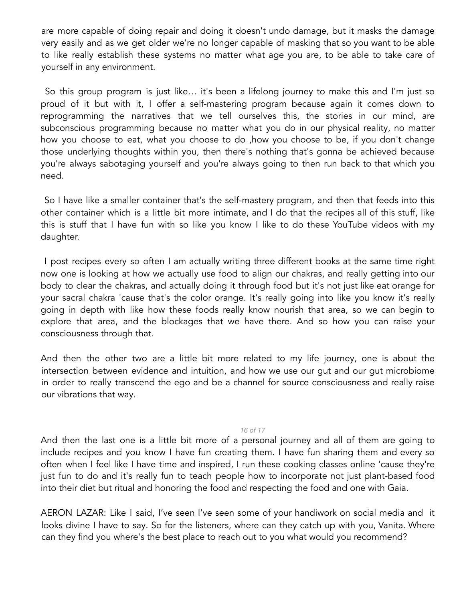are more capable of doing repair and doing it doesn't undo damage, but it masks the damage very easily and as we get older we're no longer capable of masking that so you want to be able to like really establish these systems no matter what age you are, to be able to take care of yourself in any environment.

So this group program is just like… it's been a lifelong journey to make this and I'm just so proud of it but with it, I offer a self-mastering program because again it comes down to reprogramming the narratives that we tell ourselves this, the stories in our mind, are subconscious programming because no matter what you do in our physical reality, no matter how you choose to eat, what you choose to do ,how you choose to be, if you don't change those underlying thoughts within you, then there's nothing that's gonna be achieved because you're always sabotaging yourself and you're always going to then run back to that which you need.

So I have like a smaller container that's the self-mastery program, and then that feeds into this other container which is a little bit more intimate, and I do that the recipes all of this stuff, like this is stuff that I have fun with so like you know I like to do these YouTube videos with my daughter.

I post recipes every so often I am actually writing three different books at the same time right now one is looking at how we actually use food to align our chakras, and really getting into our body to clear the chakras, and actually doing it through food but it's not just like eat orange for your sacral chakra 'cause that's the color orange. It's really going into like you know it's really going in depth with like how these foods really know nourish that area, so we can begin to explore that area, and the blockages that we have there. And so how you can raise your consciousness through that.

And then the other two are a little bit more related to my life journey, one is about the intersection between evidence and intuition, and how we use our gut and our gut microbiome in order to really transcend the ego and be a channel for source consciousness and really raise our vibrations that way.

## *16 of 17*

And then the last one is a little bit more of a personal journey and all of them are going to include recipes and you know I have fun creating them. I have fun sharing them and every so often when I feel like I have time and inspired, I run these cooking classes online 'cause they're just fun to do and it's really fun to teach people how to incorporate not just plant-based food into their diet but ritual and honoring the food and respecting the food and one with Gaia.

AERON LAZAR: Like I said, I've seen I've seen some of your handiwork on social media and it looks divine I have to say. So for the listeners, where can they catch up with you, Vanita. Where can they find you where's the best place to reach out to you what would you recommend?